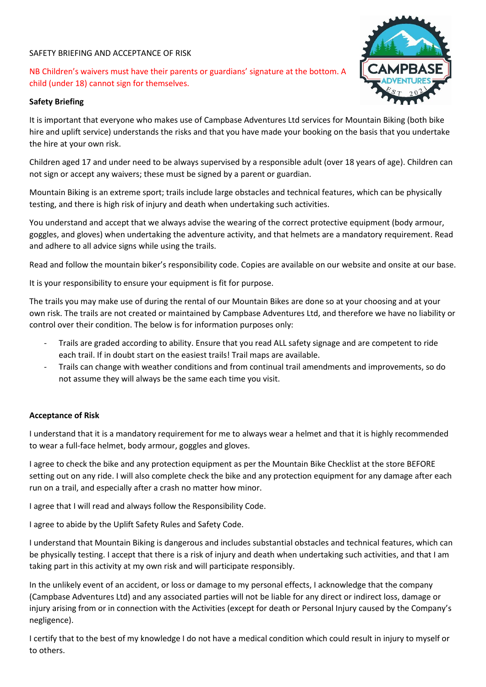## SAFETY BRIEFING AND ACCEPTANCE OF RISK

NB Children's waivers must have their parents or guardians' signature at the bottom. A child (under 18) cannot sign for themselves.

## **Safety Briefing**



It is important that everyone who makes use of Campbase Adventures Ltd services for Mountain Biking (both bike hire and uplift service) understands the risks and that you have made your booking on the basis that you undertake the hire at your own risk.

Children aged 17 and under need to be always supervised by a responsible adult (over 18 years of age). Children can not sign or accept any waivers; these must be signed by a parent or guardian.

Mountain Biking is an extreme sport; trails include large obstacles and technical features, which can be physically testing, and there is high risk of injury and death when undertaking such activities.

You understand and accept that we always advise the wearing of the correct protective equipment (body armour, goggles, and gloves) when undertaking the adventure activity, and that helmets are a mandatory requirement. Read and adhere to all advice signs while using the trails.

Read and follow the mountain biker's responsibility code. Copies are available on our website and onsite at our base.

It is your responsibility to ensure your equipment is fit for purpose.

The trails you may make use of during the rental of our Mountain Bikes are done so at your choosing and at your own risk. The trails are not created or maintained by Campbase Adventures Ltd, and therefore we have no liability or control over their condition. The below is for information purposes only:

- Trails are graded according to ability. Ensure that you read ALL safety signage and are competent to ride each trail. If in doubt start on the easiest trails! Trail maps are available.
- Trails can change with weather conditions and from continual trail amendments and improvements, so do not assume they will always be the same each time you visit.

## **Acceptance of Risk**

I understand that it is a mandatory requirement for me to always wear a helmet and that it is highly recommended to wear a full-face helmet, body armour, goggles and gloves.

I agree to check the bike and any protection equipment as per the Mountain Bike Checklist at the store BEFORE setting out on any ride. I will also complete check the bike and any protection equipment for any damage after each run on a trail, and especially after a crash no matter how minor.

I agree that I will read and always follow the Responsibility Code.

I agree to abide by the Uplift Safety Rules and Safety Code.

I understand that Mountain Biking is dangerous and includes substantial obstacles and technical features, which can be physically testing. I accept that there is a risk of injury and death when undertaking such activities, and that I am taking part in this activity at my own risk and will participate responsibly.

In the unlikely event of an accident, or loss or damage to my personal effects, I acknowledge that the company (Campbase Adventures Ltd) and any associated parties will not be liable for any direct or indirect loss, damage or injury arising from or in connection with the Activities (except for death or Personal Injury caused by the Company's negligence).

I certify that to the best of my knowledge I do not have a medical condition which could result in injury to myself or to others.